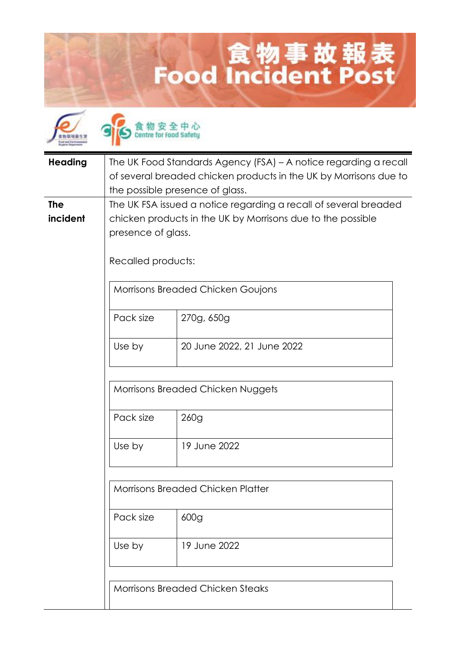## 食物事故報表<br>Food Incident Post

| <b>Heading</b> | The UK Food Standards Agency (FSA) - A notice regarding a recall<br>of several breaded chicken products in the UK by Morrisons due to<br>the possible presence of glass. |                                         |  |  |
|----------------|--------------------------------------------------------------------------------------------------------------------------------------------------------------------------|-----------------------------------------|--|--|
| <b>The</b>     | The UK FSA issued a notice regarding a recall of several breaded                                                                                                         |                                         |  |  |
| incident       | chicken products in the UK by Morrisons due to the possible                                                                                                              |                                         |  |  |
|                | presence of glass.                                                                                                                                                       |                                         |  |  |
|                |                                                                                                                                                                          |                                         |  |  |
|                |                                                                                                                                                                          | Recalled products:                      |  |  |
|                |                                                                                                                                                                          |                                         |  |  |
|                |                                                                                                                                                                          | Morrisons Breaded Chicken Goujons       |  |  |
|                |                                                                                                                                                                          |                                         |  |  |
|                | Pack size                                                                                                                                                                | 270g, 650g                              |  |  |
|                |                                                                                                                                                                          |                                         |  |  |
|                | Use by                                                                                                                                                                   | 20 June 2022, 21 June 2022              |  |  |
|                |                                                                                                                                                                          |                                         |  |  |
|                |                                                                                                                                                                          |                                         |  |  |
|                |                                                                                                                                                                          |                                         |  |  |
|                |                                                                                                                                                                          | Morrisons Breaded Chicken Nuggets       |  |  |
|                |                                                                                                                                                                          |                                         |  |  |
|                | Pack size                                                                                                                                                                | 260g                                    |  |  |
|                |                                                                                                                                                                          |                                         |  |  |
|                | Use by                                                                                                                                                                   | 19 June 2022                            |  |  |
|                |                                                                                                                                                                          |                                         |  |  |
|                |                                                                                                                                                                          |                                         |  |  |
|                |                                                                                                                                                                          |                                         |  |  |
|                | <b>Morrisons Breaded Chicken Platter</b>                                                                                                                                 |                                         |  |  |
|                |                                                                                                                                                                          |                                         |  |  |
|                | Pack size                                                                                                                                                                | 600 <sub>g</sub>                        |  |  |
|                |                                                                                                                                                                          |                                         |  |  |
|                | Use by                                                                                                                                                                   | 19 June 2022                            |  |  |
|                |                                                                                                                                                                          |                                         |  |  |
|                |                                                                                                                                                                          |                                         |  |  |
|                |                                                                                                                                                                          |                                         |  |  |
|                |                                                                                                                                                                          | <b>Morrisons Breaded Chicken Steaks</b> |  |  |
|                |                                                                                                                                                                          |                                         |  |  |